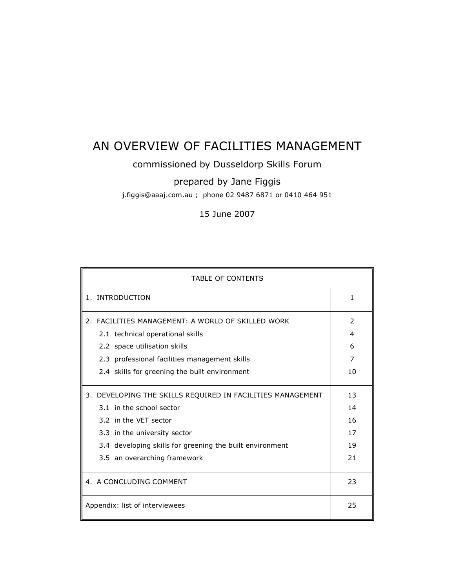# AN OVERVIEW OF FACILITIES MANAGEMENT

# commissioned by Dusseldorp Skills Forum

# prepared by Jane Figgis

j.figgis@aaaj.com.au ; phone 02 9487 6871 or 0410 464 951

15 June 2007

| <b>TABLE OF CONTENTS</b>                                   |              |  |
|------------------------------------------------------------|--------------|--|
| 1. INTRODUCTION                                            | $\mathbf{1}$ |  |
| 2. FACILITIES MANAGEMENT: A WORLD OF SKILLED WORK          |              |  |
| 2.1 technical operational skills                           | 4            |  |
| 2.2 space utilisation skills                               | 6            |  |
| 2.3 professional facilities management skills              | 7            |  |
| 2.4 skills for greening the built environment              | 10           |  |
| 3. DEVELOPING THE SKILLS REQUIRED IN FACILITIES MANAGEMENT | 13           |  |
| 3.1 in the school sector                                   | 14           |  |
| 3.2 in the VET sector                                      | 16           |  |
| 3.3 in the university sector                               | 17           |  |
| 3.4 developing skills for greening the built environment   | 19           |  |
| 3.5 an overarching framework                               | 21           |  |
| 4. A CONCLUDING COMMENT                                    | 23           |  |
| Appendix: list of interviewees                             | 25           |  |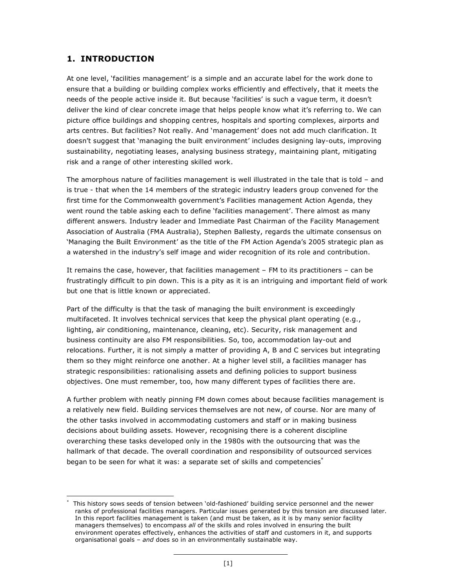# **1. INTRODUCTION**

At one level, 'facilities management' is a simple and an accurate label for the work done to ensure that a building or building complex works efficiently and effectively, that it meets the needs of the people active inside it. But because 'facilities' is such a vague term, it doesn't deliver the kind of clear concrete image that helps people know what it's referring to. We can picture office buildings and shopping centres, hospitals and sporting complexes, airports and arts centres. But facilities? Not really. And 'management' does not add much clarification. It doesn't suggest that 'managing the built environment' includes designing lay-outs, improving sustainability, negotiating leases, analysing business strategy, maintaining plant, mitigating risk and a range of other interesting skilled work.

The amorphous nature of facilities management is well illustrated in the tale that is told – and is true - that when the 14 members of the strategic industry leaders group convened for the first time for the Commonwealth government's Facilities management Action Agenda, they went round the table asking each to define 'facilities management'. There almost as many different answers. Industry leader and Immediate Past Chairman of the Facility Management Association of Australia (FMA Australia), Stephen Ballesty, regards the ultimate consensus on 'Managing the Built Environment' as the title of the FM Action Agenda's 2005 strategic plan as a watershed in the industry's self image and wider recognition of its role and contribution.

It remains the case, however, that facilities management – FM to its practitioners – can be frustratingly difficult to pin down. This is a pity as it is an intriguing and important field of work but one that is little known or appreciated.

Part of the difficulty is that the task of managing the built environment is exceedingly multifaceted. It involves technical services that keep the physical plant operating (e.g., lighting, air conditioning, maintenance, cleaning, etc). Security, risk management and business continuity are also FM responsibilities. So, too, accommodation lay-out and relocations. Further, it is not simply a matter of providing A, B and C services but integrating them so they might reinforce one another. At a higher level still, a facilities manager has strategic responsibilities: rationalising assets and defining policies to support business objectives. One must remember, too, how many different types of facilities there are.

A further problem with neatly pinning FM down comes about because facilities management is a relatively new field. Building services themselves are not new, of course. Nor are many of the other tasks involved in accommodating customers and staff or in making business decisions about building assets. However, recognising there is a coherent discipline overarching these tasks developed only in the 1980s with the outsourcing that was the hallmark of that decade. The overall coordination and responsibility of outsourced services began to be seen for what it was: a separate set of skills and competencies<sup>\*</sup>

 $\overline{a}$ This history sows seeds of tension between 'old-fashioned' building service personnel and the newer ranks of professional facilities managers. Particular issues generated by this tension are discussed later. In this report facilities management is taken (and must be taken, as it is by many senior facility managers themselves) to encompass *all* of the skills and roles involved in ensuring the built environment operates effectively, enhances the activities of staff and customers in it, and supports organisational goals – *and* does so in an environmentally sustainable way.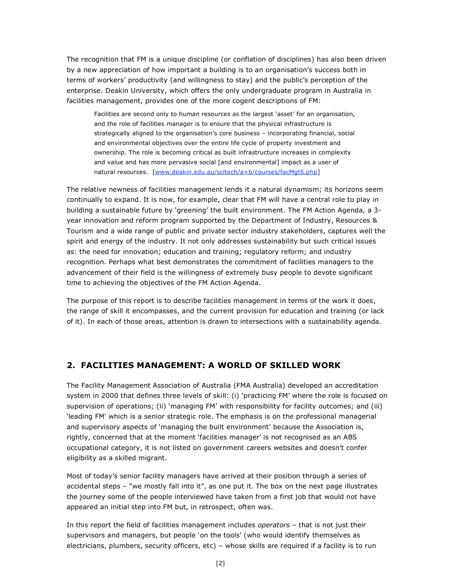The recognition that FM is a unique discipline (or conflation of disciplines) has also been driven by a new appreciation of how important a building is to an organisation's success both in terms of workers' productivity (and willingness to stay) and the public's perception of the enterprise. Deakin University, which offers the only undergraduate program in Australia in facilities management, provides one of the more cogent descriptions of FM:

Facilities are second only to human resources as the largest 'asset' for an organisation, and the role of facilities manager is to ensure that the physical infrastructure is strategically aligned to the organisation's core business – incorporating financial, social and environmental objectives over the entire life cycle of property investment and ownership. The role is becoming critical as built infrastructure increases in complexity and value and has more pervasive social [and environmental] impact as a user of natural resources. [www.deakin.edu.au/scitech/a+b/courses/facMgt5.php]

The relative newness of facilities management lends it a natural dynamism; its horizons seem continually to expand. It is now, for example, clear that FM will have a central role to play in building a sustainable future by 'greening' the built environment. The FM Action Agenda, a 3 year innovation and reform program supported by the Department of Industry, Resources & Tourism and a wide range of public and private sector industry stakeholders, captures well the spirit and energy of the industry. It not only addresses sustainability but such critical issues as: the need for innovation; education and training; regulatory reform; and industry recognition. Perhaps what best demonstrates the commitment of facilities managers to the advancement of their field is the willingness of extremely busy people to devote significant time to achieving the objectives of the FM Action Agenda.

The purpose of this report is to describe facilities management in terms of the work it does, the range of skill it encompasses, and the current provision for education and training (or lack of it). In each of those areas, attention is drawn to intersections with a sustainability agenda.

# **2. FACILITIES MANAGEMENT: A WORLD OF SKILLED WORK**

The Facility Management Association of Australia (FMA Australia) developed an accreditation system in 2000 that defines three levels of skill: (i) 'practicing FM' where the role is focused on supervision of operations; (ii) 'managing FM' with responsibility for facility outcomes; and (iii) 'leading FM' which is a senior strategic role. The emphasis is on the professional managerial and supervisory aspects of 'managing the built environment' because the Association is, rightly, concerned that at the moment 'facilities manager' is not recognised as an ABS occupational category, it is not listed on government careers websites and doesn't confer eligibility as a skilled migrant.

Most of today's senior facility managers have arrived at their position through a series of accidental steps – "we mostly fall into it", as one put it. The box on the next page illustrates the journey some of the people interviewed have taken from a first job that would not have appeared an initial step into FM but, in retrospect, often was.

In this report the field of facilities management includes *operators* – that is not just their supervisors and managers, but people 'on the tools' (who would identify themselves as electricians, plumbers, security officers, etc) – whose skills are required if a facility is to run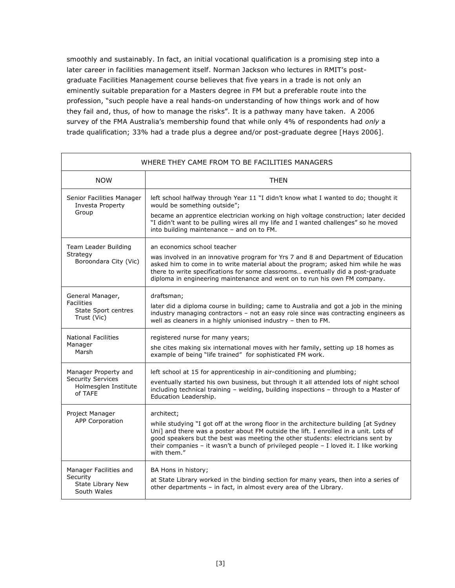smoothly and sustainably. In fact, an initial vocational qualification is a promising step into a later career in facilities management itself. Norman Jackson who lectures in RMIT's postgraduate Facilities Management course believes that five years in a trade is not only an eminently suitable preparation for a Masters degree in FM but a preferable route into the profession, "such people have a real hands-on understanding of how things work and of how they fail and, thus, of how to manage the risks". It is a pathway many have taken. A 2006 survey of the FMA Australia's membership found that while only 4% of respondents had *only* a trade qualification; 33% had a trade plus a degree and/or post-graduate degree [Hays 2006].

| WHERE THEY CAME FROM TO BE FACILITIES MANAGERS                                      |                                                                                                                                                                                                                                                                                                                                                                                       |  |
|-------------------------------------------------------------------------------------|---------------------------------------------------------------------------------------------------------------------------------------------------------------------------------------------------------------------------------------------------------------------------------------------------------------------------------------------------------------------------------------|--|
| <b>NOW</b>                                                                          | <b>THEN</b>                                                                                                                                                                                                                                                                                                                                                                           |  |
| Senior Facilities Manager<br>Investa Property<br>Group                              | left school halfway through Year 11 "I didn't know what I wanted to do; thought it<br>would be something outside";<br>became an apprentice electrician working on high voltage construction; later decided<br>"I didn't want to be pulling wires all my life and I wanted challenges" so he moved<br>into building maintenance - and on to FM.                                        |  |
| Team Leader Building<br>Strategy<br>Boroondara City (Vic)                           | an economics school teacher<br>was involved in an innovative program for Yrs 7 and 8 and Department of Education<br>asked him to come in to write material about the program; asked him while he was<br>there to write specifications for some classrooms eventually did a post-graduate<br>diploma in engineering maintenance and went on to run his own FM company.                 |  |
| General Manager,<br><b>Facilities</b><br>State Sport centres<br>Trust (Vic)         | draftsman;<br>later did a diploma course in building; came to Australia and got a job in the mining<br>industry managing contractors - not an easy role since was contracting engineers as<br>well as cleaners in a highly unionised industry - then to FM.                                                                                                                           |  |
| <b>National Facilities</b><br>Manager<br>Marsh                                      | registered nurse for many years;<br>she cites making six international moves with her family, setting up 18 homes as<br>example of being "life trained" for sophisticated FM work.                                                                                                                                                                                                    |  |
| Manager Property and<br><b>Security Services</b><br>Holmesglen Institute<br>of TAFE | left school at 15 for apprenticeship in air-conditioning and plumbing;<br>eventually started his own business, but through it all attended lots of night school<br>including technical training - welding, building inspections - through to a Master of<br>Education Leadership.                                                                                                     |  |
| Project Manager<br><b>APP Corporation</b>                                           | architect;<br>while studying "I got off at the wrong floor in the architecture building [at Sydney<br>Uni] and there was a poster about FM outside the lift. I enrolled in a unit. Lots of<br>good speakers but the best was meeting the other students: electricians sent by<br>their companies - it wasn't a bunch of privileged people - I loved it. I like working<br>with them." |  |
| Manager Facilities and<br>Security<br>State Library New<br>South Wales              | BA Hons in history;<br>at State Library worked in the binding section for many years, then into a series of<br>other departments - in fact, in almost every area of the Library.                                                                                                                                                                                                      |  |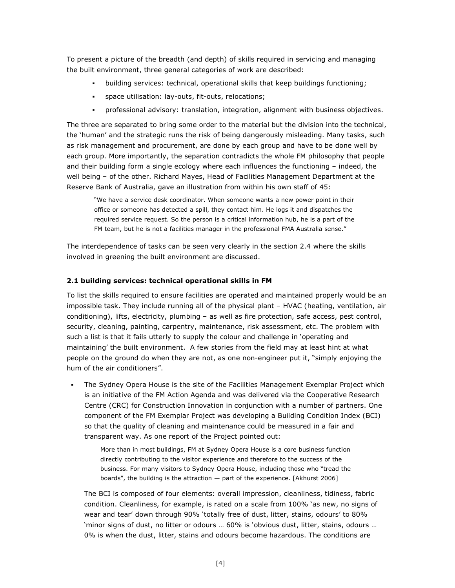To present a picture of the breadth (and depth) of skills required in servicing and managing the built environment, three general categories of work are described:

- building services: technical, operational skills that keep buildings functioning;
- space utilisation: lay-outs, fit-outs, relocations;
- professional advisory: translation, integration, alignment with business objectives.

The three are separated to bring some order to the material but the division into the technical, the 'human' and the strategic runs the risk of being dangerously misleading. Many tasks, such as risk management and procurement, are done by each group and have to be done well by each group. More importantly, the separation contradicts the whole FM philosophy that people and their building form a single ecology where each influences the functioning – indeed, the well being – of the other. Richard Mayes, Head of Facilities Management Department at the Reserve Bank of Australia, gave an illustration from within his own staff of 45:

"We have a service desk coordinator. When someone wants a new power point in their office or someone has detected a spill, they contact him. He logs it and dispatches the required service request. So the person is a critical information hub, he is a part of the FM team, but he is not a facilities manager in the professional FMA Australia sense."

The interdependence of tasks can be seen very clearly in the section 2.4 where the skills involved in greening the built environment are discussed.

#### **2.1 building services: technical operational skills in FM**

To list the skills required to ensure facilities are operated and maintained properly would be an impossible task. They include running all of the physical plant – HVAC (heating, ventilation, air conditioning), lifts, electricity, plumbing – as well as fire protection, safe access, pest control, security, cleaning, painting, carpentry, maintenance, risk assessment, etc. The problem with such a list is that it fails utterly to supply the colour and challenge in 'operating and maintaining' the built environment. A few stories from the field may at least hint at what people on the ground do when they are not, as one non-engineer put it, "simply enjoying the hum of the air conditioners".

 The Sydney Opera House is the site of the Facilities Management Exemplar Project which is an initiative of the FM Action Agenda and was delivered via the Cooperative Research Centre (CRC) for Construction Innovation in conjunction with a number of partners. One component of the FM Exemplar Project was developing a Building Condition Index (BCI) so that the quality of cleaning and maintenance could be measured in a fair and transparent way. As one report of the Project pointed out:

More than in most buildings, FM at Sydney Opera House is a core business function directly contributing to the visitor experience and therefore to the success of the business. For many visitors to Sydney Opera House, including those who "tread the boards", the building is the attraction — part of the experience. [Akhurst 2006]

The BCI is composed of four elements: overall impression, cleanliness, tidiness, fabric condition. Cleanliness, for example, is rated on a scale from 100% 'as new, no signs of wear and tear' down through 90% 'totally free of dust, litter, stains, odours' to 80% 'minor signs of dust, no litter or odours … 60% is 'obvious dust, litter, stains, odours … 0% is when the dust, litter, stains and odours become hazardous. The conditions are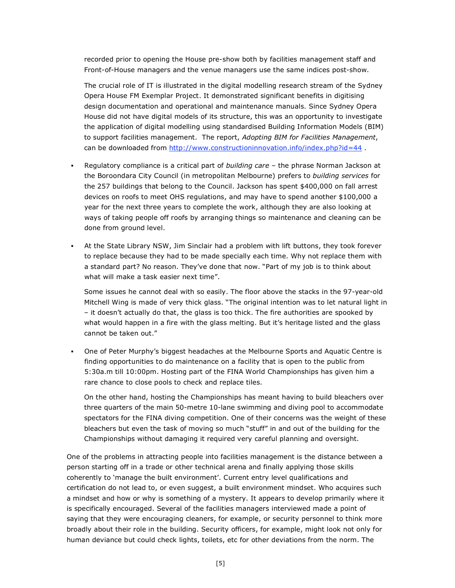recorded prior to opening the House pre-show both by facilities management staff and Front-of-House managers and the venue managers use the same indices post-show.

The crucial role of IT is illustrated in the digital modelling research stream of the Sydney Opera House FM Exemplar Project. It demonstrated significant benefits in digitising design documentation and operational and maintenance manuals. Since Sydney Opera House did not have digital models of its structure, this was an opportunity to investigate the application of digital modelling using standardised Building Information Models (BIM) to support facilities management. The report, *Adopting BIM for Facilities Management*, can be downloaded from http://www.constructioninnovation.info/index.php?id=44 .

- Regulatory compliance is a critical part of *building care* the phrase Norman Jackson at the Boroondara City Council (in metropolitan Melbourne) prefers to *building services* for the 257 buildings that belong to the Council. Jackson has spent \$400,000 on fall arrest devices on roofs to meet OHS regulations, and may have to spend another \$100,000 a year for the next three years to complete the work, although they are also looking at ways of taking people off roofs by arranging things so maintenance and cleaning can be done from ground level.
- At the State Library NSW, Jim Sinclair had a problem with lift buttons, they took forever to replace because they had to be made specially each time. Why not replace them with a standard part? No reason. They've done that now. "Part of my job is to think about what will make a task easier next time".

Some issues he cannot deal with so easily. The floor above the stacks in the 97-year-old Mitchell Wing is made of very thick glass. "The original intention was to let natural light in – it doesn't actually do that, the glass is too thick. The fire authorities are spooked by what would happen in a fire with the glass melting. But it's heritage listed and the glass cannot be taken out."

 One of Peter Murphy's biggest headaches at the Melbourne Sports and Aquatic Centre is finding opportunities to do maintenance on a facility that is open to the public from 5:30a.m till 10:00pm. Hosting part of the FINA World Championships has given him a rare chance to close pools to check and replace tiles.

On the other hand, hosting the Championships has meant having to build bleachers over three quarters of the main 50-metre 10-lane swimming and diving pool to accommodate spectators for the FINA diving competition. One of their concerns was the weight of these bleachers but even the task of moving so much "stuff" in and out of the building for the Championships without damaging it required very careful planning and oversight.

One of the problems in attracting people into facilities management is the distance between a person starting off in a trade or other technical arena and finally applying those skills coherently to 'manage the built environment'. Current entry level qualifications and certification do not lead to, or even suggest, a built environment mindset. Who acquires such a mindset and how or why is something of a mystery. It appears to develop primarily where it is specifically encouraged. Several of the facilities managers interviewed made a point of saying that they were encouraging cleaners, for example, or security personnel to think more broadly about their role in the building. Security officers, for example, might look not only for human deviance but could check lights, toilets, etc for other deviations from the norm. The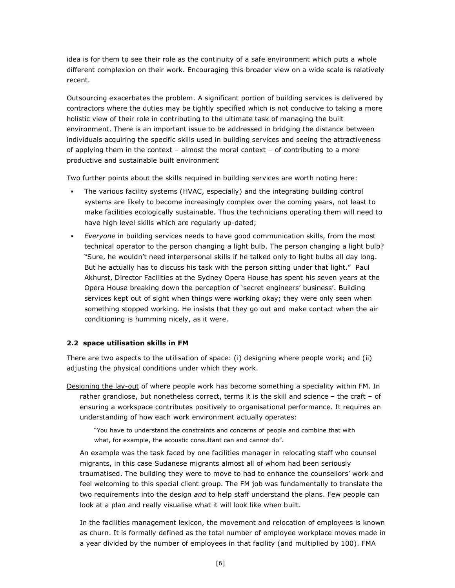idea is for them to see their role as the continuity of a safe environment which puts a whole different complexion on their work. Encouraging this broader view on a wide scale is relatively recent.

Outsourcing exacerbates the problem. A significant portion of building services is delivered by contractors where the duties may be tightly specified which is not conducive to taking a more holistic view of their role in contributing to the ultimate task of managing the built environment. There is an important issue to be addressed in bridging the distance between individuals acquiring the specific skills used in building services and seeing the attractiveness of applying them in the context – almost the moral context – of contributing to a more productive and sustainable built environment

Two further points about the skills required in building services are worth noting here:

- The various facility systems (HVAC, especially) and the integrating building control systems are likely to become increasingly complex over the coming years, not least to make facilities ecologically sustainable. Thus the technicians operating them will need to have high level skills which are regularly up-dated;
- *Everyone* in building services needs to have good communication skills, from the most technical operator to the person changing a light bulb. The person changing a light bulb? "Sure, he wouldn't need interpersonal skills if he talked only to light bulbs all day long. But he actually has to discuss his task with the person sitting under that light." Paul Akhurst, Director Facilities at the Sydney Opera House has spent his seven years at the Opera House breaking down the perception of 'secret engineers' business'. Building services kept out of sight when things were working okay; they were only seen when something stopped working. He insists that they go out and make contact when the air conditioning is humming nicely, as it were.

#### **2.2 space utilisation skills in FM**

There are two aspects to the utilisation of space: (i) designing where people work; and (ii) adjusting the physical conditions under which they work.

Designing the lay-out of where people work has become something a speciality within FM. In rather grandiose, but nonetheless correct, terms it is the skill and science – the craft – of ensuring a workspace contributes positively to organisational performance. It requires an understanding of how each work environment actually operates:

"You have to understand the constraints and concerns of people and combine that with what, for example, the acoustic consultant can and cannot do".

An example was the task faced by one facilities manager in relocating staff who counsel migrants, in this case Sudanese migrants almost all of whom had been seriously traumatised. The building they were to move to had to enhance the counsellors' work and feel welcoming to this special client group. The FM job was fundamentally to translate the two requirements into the design *and* to help staff understand the plans. Few people can look at a plan and really visualise what it will look like when built.

In the facilities management lexicon, the movement and relocation of employees is known as churn. It is formally defined as the total number of employee workplace moves made in a year divided by the number of employees in that facility (and multiplied by 100). FMA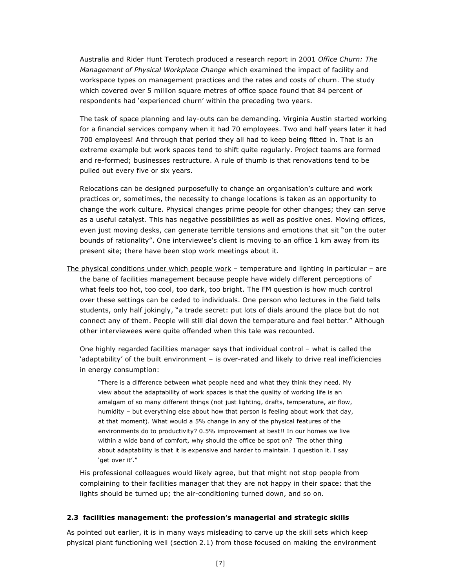Australia and Rider Hunt Terotech produced a research report in 2001 *Office Churn: The Management of Physical Workplace Change* which examined the impact of facility and workspace types on management practices and the rates and costs of churn. The study which covered over 5 million square metres of office space found that 84 percent of respondents had 'experienced churn' within the preceding two years.

The task of space planning and lay-outs can be demanding. Virginia Austin started working for a financial services company when it had 70 employees. Two and half years later it had 700 employees! And through that period they all had to keep being fitted in. That is an extreme example but work spaces tend to shift quite regularly. Project teams are formed and re-formed; businesses restructure. A rule of thumb is that renovations tend to be pulled out every five or six years.

Relocations can be designed purposefully to change an organisation's culture and work practices or, sometimes, the necessity to change locations is taken as an opportunity to change the work culture. Physical changes prime people for other changes; they can serve as a useful catalyst. This has negative possibilities as well as positive ones. Moving offices, even just moving desks, can generate terrible tensions and emotions that sit "on the outer bounds of rationality". One interviewee's client is moving to an office 1 km away from its present site; there have been stop work meetings about it.

The physical conditions under which people work – temperature and lighting in particular – are the bane of facilities management because people have widely different perceptions of what feels too hot, too cool, too dark, too bright. The FM question is how much control over these settings can be ceded to individuals. One person who lectures in the field tells students, only half jokingly, "a trade secret: put lots of dials around the place but do not connect any of them. People will still dial down the temperature and feel better." Although other interviewees were quite offended when this tale was recounted.

One highly regarded facilities manager says that individual control – what is called the 'adaptability' of the built environment – is over-rated and likely to drive real inefficiencies in energy consumption:

"There is a difference between what people need and what they think they need. My view about the adaptability of work spaces is that the quality of working life is an amalgam of so many different things (not just lighting, drafts, temperature, air flow, humidity – but everything else about how that person is feeling about work that day, at that moment). What would a 5% change in any of the physical features of the environments do to productivity? 0.5% improvement at best!! In our homes we live within a wide band of comfort, why should the office be spot on? The other thing about adaptability is that it is expensive and harder to maintain. I question it. I say 'get over it'."

His professional colleagues would likely agree, but that might not stop people from complaining to their facilities manager that they are not happy in their space: that the lights should be turned up; the air-conditioning turned down, and so on.

#### **2.3 facilities management: the profession's managerial and strategic skills**

As pointed out earlier, it is in many ways misleading to carve up the skill sets which keep physical plant functioning well (section 2.1) from those focused on making the environment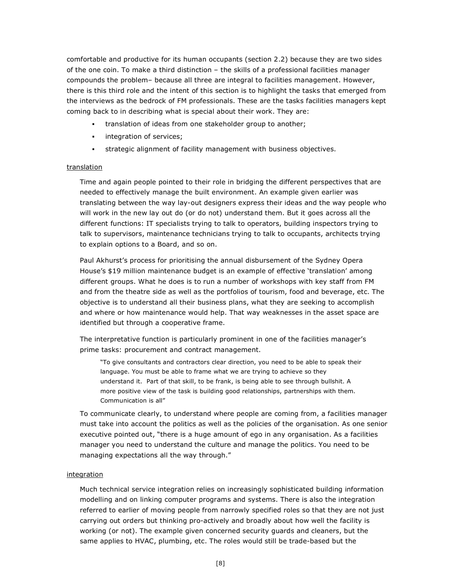comfortable and productive for its human occupants (section 2.2) because they are two sides of the one coin. To make a third distinction – the skills of a professional facilities manager compounds the problem– because all three are integral to facilities management. However, there is this third role and the intent of this section is to highlight the tasks that emerged from the interviews as the bedrock of FM professionals. These are the tasks facilities managers kept coming back to in describing what is special about their work. They are:

- translation of ideas from one stakeholder group to another;
- **integration of services;**
- strategic alignment of facility management with business objectives.

### **translation**

Time and again people pointed to their role in bridging the different perspectives that are needed to effectively manage the built environment. An example given earlier was translating between the way lay-out designers express their ideas and the way people who will work in the new lay out do (or do not) understand them. But it goes across all the different functions: IT specialists trying to talk to operators, building inspectors trying to talk to supervisors, maintenance technicians trying to talk to occupants, architects trying to explain options to a Board, and so on.

Paul Akhurst's process for prioritising the annual disbursement of the Sydney Opera House's \$19 million maintenance budget is an example of effective 'translation' among different groups. What he does is to run a number of workshops with key staff from FM and from the theatre side as well as the portfolios of tourism, food and beverage, etc. The objective is to understand all their business plans, what they are seeking to accomplish and where or how maintenance would help. That way weaknesses in the asset space are identified but through a cooperative frame.

The interpretative function is particularly prominent in one of the facilities manager's prime tasks: procurement and contract management.

"To give consultants and contractors clear direction, you need to be able to speak their language. You must be able to frame what we are trying to achieve so they understand it. Part of that skill, to be frank, is being able to see through bullshit. A more positive view of the task is building good relationships, partnerships with them. Communication is all"

To communicate clearly, to understand where people are coming from, a facilities manager must take into account the politics as well as the policies of the organisation. As one senior executive pointed out, "there is a huge amount of ego in any organisation. As a facilities manager you need to understand the culture and manage the politics. You need to be managing expectations all the way through."

#### integration

Much technical service integration relies on increasingly sophisticated building information modelling and on linking computer programs and systems. There is also the integration referred to earlier of moving people from narrowly specified roles so that they are not just carrying out orders but thinking pro-actively and broadly about how well the facility is working (or not). The example given concerned security guards and cleaners, but the same applies to HVAC, plumbing, etc. The roles would still be trade-based but the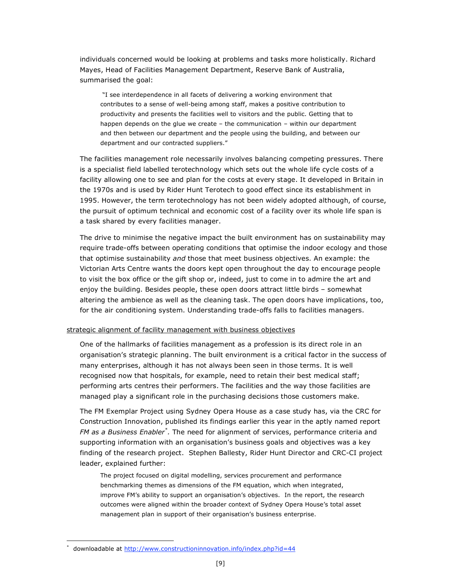individuals concerned would be looking at problems and tasks more holistically. Richard Mayes, Head of Facilities Management Department, Reserve Bank of Australia, summarised the goal:

"I see interdependence in all facets of delivering a working environment that contributes to a sense of well-being among staff, makes a positive contribution to productivity and presents the facilities well to visitors and the public. Getting that to happen depends on the glue we create – the communication – within our department and then between our department and the people using the building, and between our department and our contracted suppliers."

The facilities management role necessarily involves balancing competing pressures. There is a specialist field labelled terotechnology which sets out the whole life cycle costs of a facility allowing one to see and plan for the costs at every stage. It developed in Britain in the 1970s and is used by Rider Hunt Terotech to good effect since its establishment in 1995. However, the term terotechnology has not been widely adopted although, of course, the pursuit of optimum technical and economic cost of a facility over its whole life span is a task shared by every facilities manager.

The drive to minimise the negative impact the built environment has on sustainability may require trade-offs between operating conditions that optimise the indoor ecology and those that optimise sustainability *and* those that meet business objectives. An example: the Victorian Arts Centre wants the doors kept open throughout the day to encourage people to visit the box office or the gift shop or, indeed, just to come in to admire the art and enjoy the building. Besides people, these open doors attract little birds – somewhat altering the ambience as well as the cleaning task. The open doors have implications, too, for the air conditioning system. Understanding trade-offs falls to facilities managers.

#### strategic alignment of facility management with business objectives

One of the hallmarks of facilities management as a profession is its direct role in an organisation's strategic planning. The built environment is a critical factor in the success of many enterprises, although it has not always been seen in those terms. It is well recognised now that hospitals, for example, need to retain their best medical staff; performing arts centres their performers. The facilities and the way those facilities are managed play a significant role in the purchasing decisions those customers make.

The FM Exemplar Project using Sydney Opera House as a case study has, via the CRC for Construction Innovation, published its findings earlier this year in the aptly named report *FM as a Business Enabler \* .* The need for alignment of services, performance criteria and supporting information with an organisation's business goals and objectives was a key finding of the research project. Stephen Ballesty, Rider Hunt Director and CRC-CI project leader, explained further:

The project focused on digital modelling, services procurement and performance benchmarking themes as dimensions of the FM equation, which when integrated, improve FM's ability to support an organisation's objectives. In the report, the research outcomes were aligned within the broader context of Sydney Opera House's total asset management plan in support of their organisation's business enterprise.

 $\overline{a}$ 

downloadable at http://www.constructioninnovation.info/index.php?id=44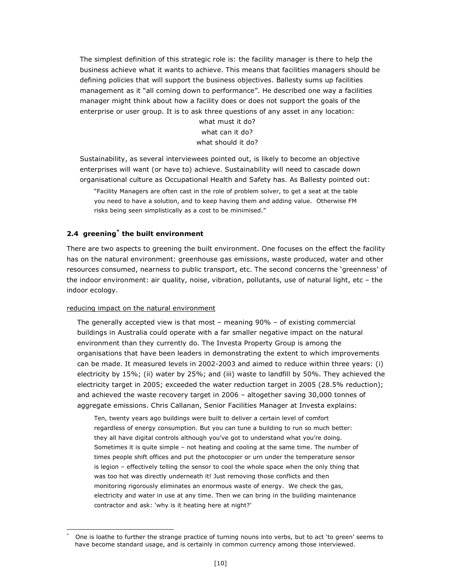The simplest definition of this strategic role is: the facility manager is there to help the business achieve what it wants to achieve. This means that facilities managers should be defining policies that will support the business objectives. Ballesty sums up facilities management as it "all coming down to performance". He described one way a facilities manager might think about how a facility does or does not support the goals of the enterprise or user group. It is to ask three questions of any asset in any location:

> what must it do? what can it do? what should it do?

Sustainability, as several interviewees pointed out, is likely to become an objective enterprises will want (or have to) achieve. Sustainability will need to cascade down organisational culture as Occupational Health and Safety has. As Ballesty pointed out:

"Facility Managers are often cast in the role of problem solver, to get a seat at the table you need to have a solution, and to keep having them and adding value. Otherwise FM risks being seen simplistically as a cost to be minimised."

#### **2.4 greening\* the built environment**

There are two aspects to greening the built environment. One focuses on the effect the facility has on the natural environment: greenhouse gas emissions, waste produced, water and other resources consumed, nearness to public transport, etc. The second concerns the 'greenness' of the indoor environment: air quality, noise, vibration, pollutants, use of natural light, etc – the indoor ecology.

#### reducing impact on the natural environment

 $\overline{a}$ 

The generally accepted view is that most – meaning 90% – of existing commercial buildings in Australia could operate with a far smaller negative impact on the natural environment than they currently do. The Investa Property Group is among the organisations that have been leaders in demonstrating the extent to which improvements can be made. It measured levels in 2002-2003 and aimed to reduce within three years: (i) electricity by 15%; (ii) water by 25%; and (iii) waste to landfill by 50%. They achieved the electricity target in 2005; exceeded the water reduction target in 2005 (28.5% reduction); and achieved the waste recovery target in 2006 – altogether saving 30,000 tonnes of aggregate emissions. Chris Callanan, Senior Facilities Manager at Investa explains:

Ten, twenty years ago buildings were built to deliver a certain level of comfort regardless of energy consumption. But you can tune a building to run so much better: they all have digital controls although you've got to understand what you're doing. Sometimes it is quite simple – not heating and cooling at the same time. The number of times people shift offices and put the photocopier or urn under the temperature sensor is legion – effectively telling the sensor to cool the whole space when the only thing that was too hot was directly underneath it! Just removing those conflicts and then monitoring rigorously eliminates an enormous waste of energy. We check the gas, electricity and water in use at any time. Then we can bring in the building maintenance contractor and ask: 'why is it heating here at night?'

One is loathe to further the strange practice of turning nouns into verbs, but to act 'to green' seems to have become standard usage, and is certainly in common currency among those interviewed.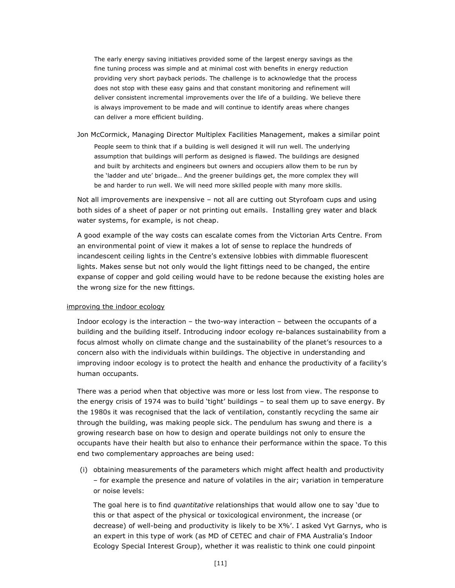The early energy saving initiatives provided some of the largest energy savings as the fine tuning process was simple and at minimal cost with benefits in energy reduction providing very short payback periods. The challenge is to acknowledge that the process does not stop with these easy gains and that constant monitoring and refinement will deliver consistent incremental improvements over the life of a building. We believe there is always improvement to be made and will continue to identify areas where changes can deliver a more efficient building.

Jon McCormick, Managing Director Multiplex Facilities Management, makes a similar point

People seem to think that if a building is well designed it will run well. The underlying assumption that buildings will perform as designed is flawed. The buildings are designed and built by architects and engineers but owners and occupiers allow them to be run by the 'ladder and ute' brigade… And the greener buildings get, the more complex they will be and harder to run well. We will need more skilled people with many more skills.

Not all improvements are inexpensive – not all are cutting out Styrofoam cups and using both sides of a sheet of paper or not printing out emails. Installing grey water and black water systems, for example, is not cheap.

A good example of the way costs can escalate comes from the Victorian Arts Centre. From an environmental point of view it makes a lot of sense to replace the hundreds of incandescent ceiling lights in the Centre's extensive lobbies with dimmable fluorescent lights. Makes sense but not only would the light fittings need to be changed, the entire expanse of copper and gold ceiling would have to be redone because the existing holes are the wrong size for the new fittings.

### improving the indoor ecology

Indoor ecology is the interaction – the two-way interaction – between the occupants of a building and the building itself. Introducing indoor ecology re-balances sustainability from a focus almost wholly on climate change and the sustainability of the planet's resources to a concern also with the individuals within buildings. The objective in understanding and improving indoor ecology is to protect the health and enhance the productivity of a facility's human occupants.

There was a period when that objective was more or less lost from view. The response to the energy crisis of 1974 was to build 'tight' buildings – to seal them up to save energy. By the 1980s it was recognised that the lack of ventilation, constantly recycling the same air through the building, was making people sick. The pendulum has swung and there is a growing research base on how to design and operate buildings not only to ensure the occupants have their health but also to enhance their performance within the space. To this end two complementary approaches are being used:

(i) obtaining measurements of the parameters which might affect health and productivity – for example the presence and nature of volatiles in the air; variation in temperature or noise levels:

The goal here is to find *quantitative* relationships that would allow one to say 'due to this or that aspect of the physical or toxicological environment, the increase (or decrease) of well-being and productivity is likely to be X%'. I asked Vyt Garnys, who is an expert in this type of work (as MD of CETEC and chair of FMA Australia's Indoor Ecology Special Interest Group), whether it was realistic to think one could pinpoint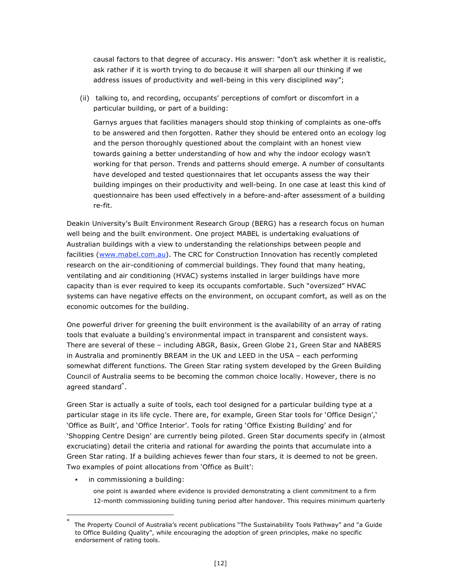causal factors to that degree of accuracy. His answer: "don't ask whether it is realistic, ask rather if it is worth trying to do because it will sharpen all our thinking if we address issues of productivity and well-being in this very disciplined way";

(ii) talking to, and recording, occupants' perceptions of comfort or discomfort in a particular building, or part of a building:

Garnys argues that facilities managers should stop thinking of complaints as one-offs to be answered and then forgotten. Rather they should be entered onto an ecology log and the person thoroughly questioned about the complaint with an honest view towards gaining a better understanding of how and why the indoor ecology wasn't working for that person. Trends and patterns should emerge. A number of consultants have developed and tested questionnaires that let occupants assess the way their building impinges on their productivity and well-being. In one case at least this kind of questionnaire has been used effectively in a before-and-after assessment of a building re-fit.

Deakin University's Built Environment Research Group (BERG) has a research focus on human well being and the built environment. One project MABEL is undertaking evaluations of Australian buildings with a view to understanding the relationships between people and facilities (www.mabel.com.au). The CRC for Construction Innovation has recently completed research on the air-conditioning of commercial buildings. They found that many heating, ventilating and air conditioning (HVAC) systems installed in larger buildings have more capacity than is ever required to keep its occupants comfortable. Such "oversized" HVAC systems can have negative effects on the environment, on occupant comfort, as well as on the economic outcomes for the building.

One powerful driver for greening the built environment is the availability of an array of rating tools that evaluate a building's environmental impact in transparent and consistent ways. There are several of these – including ABGR, Basix, Green Globe 21, Green Star and NABERS in Australia and prominently BREAM in the UK and LEED in the USA – each performing somewhat different functions. The Green Star rating system developed by the Green Building Council of Australia seems to be becoming the common choice locally. However, there is no agreed standard\* .

Green Star is actually a suite of tools, each tool designed for a particular building type at a particular stage in its life cycle. There are, for example, Green Star tools for 'Office Design',' 'Office as Built', and 'Office Interior'. Tools for rating 'Office Existing Building' and for 'Shopping Centre Design' are currently being piloted. Green Star documents specify in (almost excruciating) detail the criteria and rational for awarding the points that accumulate into a Green Star rating. If a building achieves fewer than four stars, it is deemed to not be green. Two examples of point allocations from 'Office as Built':

in commissioning a building:

one point is awarded where evidence is provided demonstrating a client commitment to a firm 12-month commissioning building tuning period after handover. This requires minimum quarterly

The Property Council of Australia's recent publications "The Sustainability Tools Pathway" and "a Guide to Office Building Quality", while encouraging the adoption of green principles, make no specific endorsement of rating tools.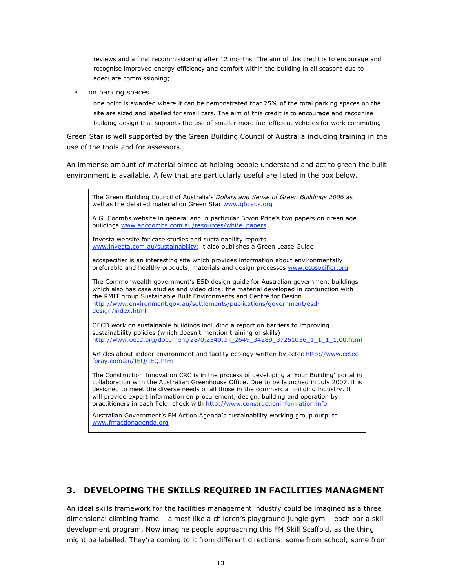reviews and a final recommissioning after 12 months. The aim of this credit is to encourage and recognise improved energy efficiency and comfort within the building in all seasons due to adequate commissioning;

• on parking spaces

one point is awarded where it can be demonstrated that 25% of the total parking spaces on the site are sized and labelled for small cars. The aim of this credit is to encourage and recognise building design that supports the use of smaller more fuel efficient vehicles for work commuting.

Green Star is well supported by the Green Building Council of Australia including training in the use of the tools and for assessors.

An immense amount of material aimed at helping people understand and act to green the built environment is available. A few that are particularly useful are listed in the box below.



# **3. DEVELOPING THE SKILLS REQUIRED IN FACILITIES MANAGMENT**

An ideal skills framework for the facilities management industry could be imagined as a three dimensional climbing frame – almost like a children's playground jungle gym – each bar a skill development program. Now imagine people approaching this FM Skill Scaffold, as the thing might be labelled. They're coming to it from different directions: some from school; some from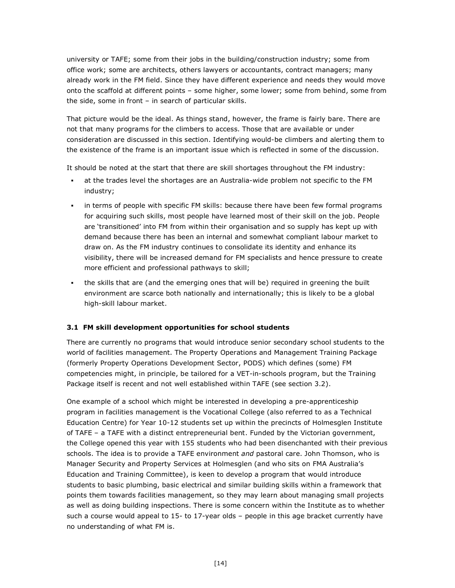university or TAFE; some from their jobs in the building/construction industry; some from office work; some are architects, others lawyers or accountants, contract managers; many already work in the FM field. Since they have different experience and needs they would move onto the scaffold at different points – some higher, some lower; some from behind, some from the side, some in front – in search of particular skills.

That picture would be the ideal. As things stand, however, the frame is fairly bare. There are not that many programs for the climbers to access. Those that are available or under consideration are discussed in this section. Identifying would-be climbers and alerting them to the existence of the frame is an important issue which is reflected in some of the discussion.

It should be noted at the start that there are skill shortages throughout the FM industry:

- at the trades level the shortages are an Australia-wide problem not specific to the FM industry;
- in terms of people with specific FM skills: because there have been few formal programs for acquiring such skills, most people have learned most of their skill on the job. People are 'transitioned' into FM from within their organisation and so supply has kept up with demand because there has been an internal and somewhat compliant labour market to draw on. As the FM industry continues to consolidate its identity and enhance its visibility, there will be increased demand for FM specialists and hence pressure to create more efficient and professional pathways to skill;
- the skills that are (and the emerging ones that will be) required in greening the built environment are scarce both nationally and internationally; this is likely to be a global high-skill labour market.

# **3.1 FM skill development opportunities for school students**

There are currently no programs that would introduce senior secondary school students to the world of facilities management. The Property Operations and Management Training Package (formerly Property Operations Development Sector, PODS) which defines (some) FM competencies might, in principle, be tailored for a VET-in-schools program, but the Training Package itself is recent and not well established within TAFE (see section 3.2).

One example of a school which might be interested in developing a pre-apprenticeship program in facilities management is the Vocational College (also referred to as a Technical Education Centre) for Year 10-12 students set up within the precincts of Holmesglen Institute of TAFE – a TAFE with a distinct entrepreneurial bent. Funded by the Victorian government, the College opened this year with 155 students who had been disenchanted with their previous schools. The idea is to provide a TAFE environment *and* pastoral care. John Thomson, who is Manager Security and Property Services at Holmesglen (and who sits on FMA Australia's Education and Training Committee), is keen to develop a program that would introduce students to basic plumbing, basic electrical and similar building skills within a framework that points them towards facilities management, so they may learn about managing small projects as well as doing building inspections. There is some concern within the Institute as to whether such a course would appeal to 15- to 17-year olds – people in this age bracket currently have no understanding of what FM is.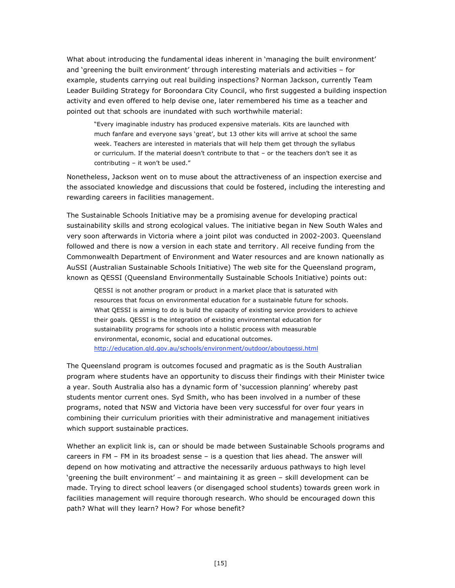What about introducing the fundamental ideas inherent in 'managing the built environment' and 'greening the built environment' through interesting materials and activities – for example, students carrying out real building inspections? Norman Jackson, currently Team Leader Building Strategy for Boroondara City Council, who first suggested a building inspection activity and even offered to help devise one, later remembered his time as a teacher and pointed out that schools are inundated with such worthwhile material:

"Every imaginable industry has produced expensive materials. Kits are launched with much fanfare and everyone says 'great', but 13 other kits will arrive at school the same week. Teachers are interested in materials that will help them get through the syllabus or curriculum. If the material doesn't contribute to that – or the teachers don't see it as contributing – it won't be used."

Nonetheless, Jackson went on to muse about the attractiveness of an inspection exercise and the associated knowledge and discussions that could be fostered, including the interesting and rewarding careers in facilities management.

The Sustainable Schools Initiative may be a promising avenue for developing practical sustainability skills and strong ecological values. The initiative began in New South Wales and very soon afterwards in Victoria where a joint pilot was conducted in 2002-2003. Queensland followed and there is now a version in each state and territory. All receive funding from the Commonwealth Department of Environment and Water resources and are known nationally as AuSSI (Australian Sustainable Schools Initiative) The web site for the Queensland program, known as QESSI (Queensland Environmentally Sustainable Schools Initiative) points out:

QESSI is not another program or product in a market place that is saturated with resources that focus on environmental education for a sustainable future for schools. What QESSI is aiming to do is build the capacity of existing service providers to achieve their goals. QESSI is the integration of existing environmental education for sustainability programs for schools into a holistic process with measurable environmental, economic, social and educational outcomes. http://education.qld.gov.au/schools/environment/outdoor/aboutqessi.html

The Queensland program is outcomes focused and pragmatic as is the South Australian program where students have an opportunity to discuss their findings with their Minister twice a year. South Australia also has a dynamic form of 'succession planning' whereby past students mentor current ones. Syd Smith, who has been involved in a number of these programs, noted that NSW and Victoria have been very successful for over four years in combining their curriculum priorities with their administrative and management initiatives which support sustainable practices.

Whether an explicit link is, can or should be made between Sustainable Schools programs and careers in FM – FM in its broadest sense – is a question that lies ahead. The answer will depend on how motivating and attractive the necessarily arduous pathways to high level 'greening the built environment' – and maintaining it as green – skill development can be made. Trying to direct school leavers (or disengaged school students) towards green work in facilities management will require thorough research. Who should be encouraged down this path? What will they learn? How? For whose benefit?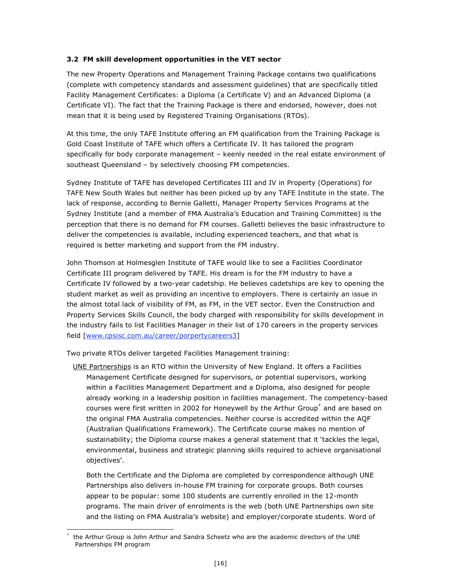# **3.2 FM skill development opportunities in the VET sector**

The new Property Operations and Management Training Package contains two qualifications (complete with competency standards and assessment guidelines) that are specifically titled Facility Management Certificates: a Diploma (a Certificate V) and an Advanced Diploma (a Certificate VI). The fact that the Training Package is there and endorsed, however, does not mean that it is being used by Registered Training Organisations (RTOs).

At this time, the only TAFE Institute offering an FM qualification from the Training Package is Gold Coast Institute of TAFE which offers a Certificate IV. It has tailored the program specifically for body corporate management – keenly needed in the real estate environment of southeast Queensland – by selectively choosing FM competencies.

Sydney Institute of TAFE has developed Certificates III and IV in Property (Operations) for TAFE New South Wales but neither has been picked up by any TAFE Institute in the state. The lack of response, according to Bernie Galletti, Manager Property Services Programs at the Sydney Institute (and a member of FMA Australia's Education and Training Committee) is the perception that there is no demand for FM courses. Galletti believes the basic infrastructure to deliver the competencies is available, including experienced teachers, and that what is required is better marketing and support from the FM industry.

John Thomson at Holmesglen Institute of TAFE would like to see a Facilities Coordinator Certificate III program delivered by TAFE. His dream is for the FM industry to have a Certificate IV followed by a two-year cadetship. He believes cadetships are key to opening the student market as well as providing an incentive to employers. There is certainly an issue in the almost total lack of visibility of FM, as FM, in the VET sector. Even the Construction and Property Services Skills Council, the body charged with responsibility for skills development in the industry fails to list Facilities Manager in their list of 170 careers in the property services field [www.cpsisc.com.au/career/porpertycareers3]

Two private RTOs deliver targeted Facilities Management training:

UNE Partnerships is an RTO within the University of New England. It offers a Facilities Management Certificate designed for supervisors, or potential supervisors, working within a Facilities Management Department and a Diploma, also designed for people already working in a leadership position in facilities management. The competency-based courses were first written in 2002 for Honeywell by the Arthur Group\* and are based on the original FMA Australia competencies. Neither course is accredited within the AQF (Australian Qualifications Framework). The Certificate course makes no mention of sustainability; the Diploma course makes a general statement that it 'tackles the legal, environmental, business and strategic planning skills required to achieve organisational objectives'.

Both the Certificate and the Diploma are completed by correspondence although UNE Partnerships also delivers in-house FM training for corporate groups. Both courses appear to be popular: some 100 students are currently enrolled in the 12-month programs. The main driver of enrolments is the web (both UNE Partnerships own site and the listing on FMA Australia's website) and employer/corporate students. Word of

 $\overline{a}$ the Arthur Group is John Arthur and Sandra Scheetz who are the academic directors of the UNE Partnerships FM program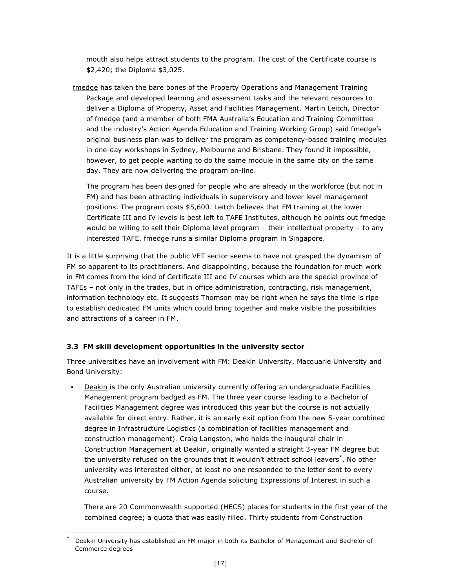mouth also helps attract students to the program. The cost of the Certificate course is \$2,420; the Diploma \$3,025.

fmedge has taken the bare bones of the Property Operations and Management Training Package and developed learning and assessment tasks and the relevant resources to deliver a Diploma of Property, Asset and Facilities Management. Martin Leitch, Director of fmedge (and a member of both FMA Australia's Education and Training Committee and the industry's Action Agenda Education and Training Working Group) said fmedge's original business plan was to deliver the program as competency-based training modules in one-day workshops in Sydney, Melbourne and Brisbane. They found it impossible, however, to get people wanting to do the same module in the same city on the same day. They are now delivering the program on-line.

The program has been designed for people who are already in the workforce (but not in FM) and has been attracting individuals in supervisory and lower level management positions. The program costs \$5,600. Leitch believes that FM training at the lower Certificate III and IV levels is best left to TAFE Institutes, although he points out fmedge would be willing to sell their Diploma level program – their intellectual property – to any interested TAFE. fmedge runs a similar Diploma program in Singapore.

It is a little surprising that the public VET sector seems to have not grasped the dynamism of FM so apparent to its practitioners. And disappointing, because the foundation for much work in FM comes from the kind of Certificate III and IV courses which are the special province of TAFEs – not only in the trades, but in office administration, contracting, risk management, information technology etc. It suggests Thomson may be right when he says the time is ripe to establish dedicated FM units which could bring together and make visible the possibilities and attractions of a career in FM.

# **3.3 FM skill development opportunities in the university sector**

Three universities have an involvement with FM: Deakin University, Macquarie University and Bond University:

Deakin is the only Australian university currently offering an undergraduate Facilities Management program badged as FM. The three year course leading to a Bachelor of Facilities Management degree was introduced this year but the course is not actually available for direct entry. Rather, it is an early exit option from the new 5-year combined degree in Infrastructure Logistics (a combination of facilities management and construction management). Craig Langston, who holds the inaugural chair in Construction Management at Deakin, originally wanted a straight 3-year FM degree but the university refused on the grounds that it wouldn't attract school leavers\*. No other university was interested either, at least no one responded to the letter sent to every Australian university by FM Action Agenda soliciting Expressions of Interest in such a course.

There are 20 Commonwealth supported (HECS) places for students in the first year of the combined degree; a quota that was easily filled. Thirty students from Construction

Deakin University has established an FM major in both its Bachelor of Management and Bachelor of Commerce degrees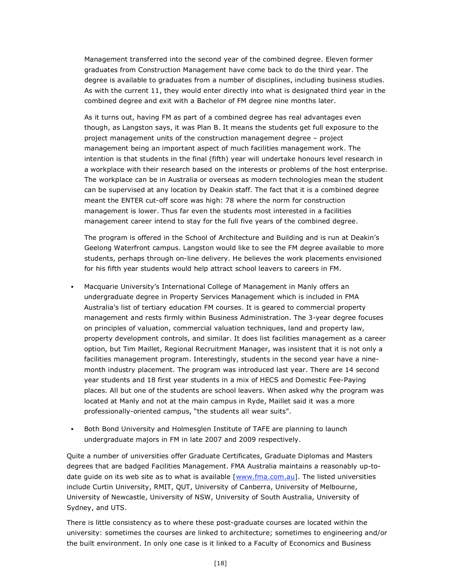Management transferred into the second year of the combined degree. Eleven former graduates from Construction Management have come back to do the third year. The degree is available to graduates from a number of disciplines, including business studies. As with the current 11, they would enter directly into what is designated third year in the combined degree and exit with a Bachelor of FM degree nine months later.

As it turns out, having FM as part of a combined degree has real advantages even though, as Langston says, it was Plan B. It means the students get full exposure to the project management units of the construction management degree – project management being an important aspect of much facilities management work. The intention is that students in the final (fifth) year will undertake honours level research in a workplace with their research based on the interests or problems of the host enterprise. The workplace can be in Australia or overseas as modern technologies mean the student can be supervised at any location by Deakin staff. The fact that it is a combined degree meant the ENTER cut-off score was high: 78 where the norm for construction management is lower. Thus far even the students most interested in a facilities management career intend to stay for the full five years of the combined degree.

The program is offered in the School of Architecture and Building and is run at Deakin's Geelong Waterfront campus. Langston would like to see the FM degree available to more students, perhaps through on-line delivery. He believes the work placements envisioned for his fifth year students would help attract school leavers to careers in FM.

- Macquarie University's International College of Management in Manly offers an undergraduate degree in Property Services Management which is included in FMA Australia's list of tertiary education FM courses. It is geared to commercial property management and rests firmly within Business Administration. The 3-year degree focuses on principles of valuation, commercial valuation techniques, land and property law, property development controls, and similar. It does list facilities management as a career option, but Tim Maillet, Regional Recruitment Manager, was insistent that it is not only a facilities management program. Interestingly, students in the second year have a ninemonth industry placement. The program was introduced last year. There are 14 second year students and 18 first year students in a mix of HECS and Domestic Fee-Paying places. All but one of the students are school leavers. When asked why the program was located at Manly and not at the main campus in Ryde, Maillet said it was a more professionally-oriented campus, "the students all wear suits".
- Both Bond University and Holmesglen Institute of TAFE are planning to launch undergraduate majors in FM in late 2007 and 2009 respectively.

Quite a number of universities offer Graduate Certificates, Graduate Diplomas and Masters degrees that are badged Facilities Management. FMA Australia maintains a reasonably up-todate guide on its web site as to what is available  $[www.fma.com.au]$ . The listed universities include Curtin University, RMIT, QUT, University of Canberra, University of Melbourne, University of Newcastle, University of NSW, University of South Australia, University of Sydney, and UTS.

There is little consistency as to where these post-graduate courses are located within the university: sometimes the courses are linked to architecture; sometimes to engineering and/or the built environment. In only one case is it linked to a Faculty of Economics and Business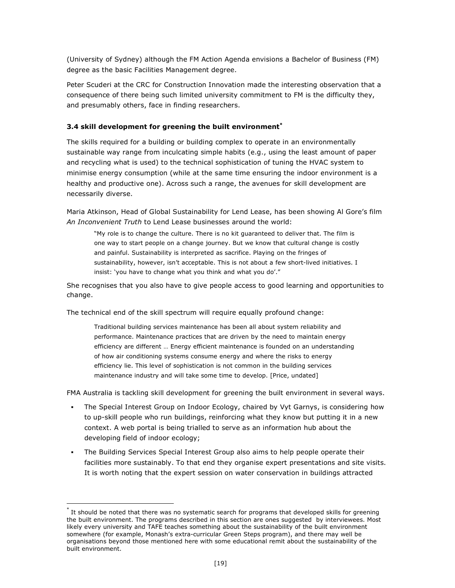(University of Sydney) although the FM Action Agenda envisions a Bachelor of Business (FM) degree as the basic Facilities Management degree.

Peter Scuderi at the CRC for Construction Innovation made the interesting observation that a consequence of there being such limited university commitment to FM is the difficulty they, and presumably others, face in finding researchers.

## **3.4 skill development for greening the built environment\***

The skills required for a building or building complex to operate in an environmentally sustainable way range from inculcating simple habits (e.g., using the least amount of paper and recycling what is used) to the technical sophistication of tuning the HVAC system to minimise energy consumption (while at the same time ensuring the indoor environment is a healthy and productive one). Across such a range, the avenues for skill development are necessarily diverse.

Maria Atkinson, Head of Global Sustainability for Lend Lease, has been showing Al Gore's film *An Inconvenient Truth* to Lend Lease businesses around the world:

"My role is to change the culture. There is no kit guaranteed to deliver that. The film is one way to start people on a change journey. But we know that cultural change is costly and painful. Sustainability is interpreted as sacrifice. Playing on the fringes of sustainability, however, isn't acceptable. This is not about a few short-lived initiatives. I insist: 'you have to change what you think and what you do'."

She recognises that you also have to give people access to good learning and opportunities to change.

The technical end of the skill spectrum will require equally profound change:

Traditional building services maintenance has been all about system reliability and performance. Maintenance practices that are driven by the need to maintain energy efficiency are different … Energy efficient maintenance is founded on an understanding of how air conditioning systems consume energy and where the risks to energy efficiency lie. This level of sophistication is not common in the building services maintenance industry and will take some time to develop. [Price, undated]

FMA Australia is tackling skill development for greening the built environment in several ways.

- The Special Interest Group on Indoor Ecology, chaired by Vyt Garnys, is considering how to up-skill people who run buildings, reinforcing what they know but putting it in a new context. A web portal is being trialled to serve as an information hub about the developing field of indoor ecology;
- The Building Services Special Interest Group also aims to help people operate their facilities more sustainably. To that end they organise expert presentations and site visits. It is worth noting that the expert session on water conservation in buildings attracted

It should be noted that there was no systematic search for programs that developed skills for greening the built environment. The programs described in this section are ones suggested by interviewees. Most likely every university and TAFE teaches something about the sustainability of the built environment somewhere (for example, Monash's extra-curricular Green Steps program), and there may well be organisations beyond those mentioned here with some educational remit about the sustainability of the built environment.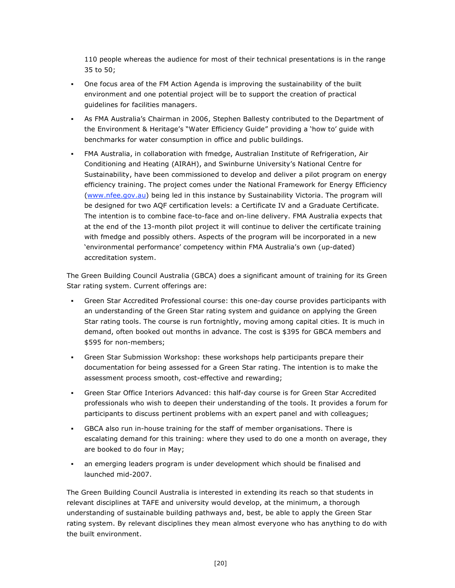110 people whereas the audience for most of their technical presentations is in the range 35 to 50;

- One focus area of the FM Action Agenda is improving the sustainability of the built environment and one potential project will be to support the creation of practical guidelines for facilities managers.
- As FMA Australia's Chairman in 2006, Stephen Ballesty contributed to the Department of the Environment & Heritage's "Water Efficiency Guide" providing a 'how to' guide with benchmarks for water consumption in office and public buildings.
- FMA Australia, in collaboration with fmedge, Australian Institute of Refrigeration, Air Conditioning and Heating (AIRAH), and Swinburne University's National Centre for Sustainability, have been commissioned to develop and deliver a pilot program on energy efficiency training. The project comes under the National Framework for Energy Efficiency (www.nfee.gov.au) being led in this instance by Sustainability Victoria. The program will be designed for two AQF certification levels: a Certificate IV and a Graduate Certificate. The intention is to combine face-to-face and on-line delivery. FMA Australia expects that at the end of the 13-month pilot project it will continue to deliver the certificate training with fmedge and possibly others. Aspects of the program will be incorporated in a new 'environmental performance' competency within FMA Australia's own (up-dated) accreditation system.

The Green Building Council Australia (GBCA) does a significant amount of training for its Green Star rating system. Current offerings are:

- Green Star Accredited Professional course: this one-day course provides participants with an understanding of the Green Star rating system and guidance on applying the Green Star rating tools. The course is run fortnightly, moving among capital cities. It is much in demand, often booked out months in advance. The cost is \$395 for GBCA members and \$595 for non-members;
- Green Star Submission Workshop: these workshops help participants prepare their documentation for being assessed for a Green Star rating. The intention is to make the assessment process smooth, cost-effective and rewarding;
- Green Star Office Interiors Advanced: this half-day course is for Green Star Accredited professionals who wish to deepen their understanding of the tools. It provides a forum for participants to discuss pertinent problems with an expert panel and with colleagues;
- GBCA also run in-house training for the staff of member organisations. There is escalating demand for this training: where they used to do one a month on average, they are booked to do four in May;
- an emerging leaders program is under development which should be finalised and launched mid-2007.

The Green Building Council Australia is interested in extending its reach so that students in relevant disciplines at TAFE and university would develop, at the minimum, a thorough understanding of sustainable building pathways and, best, be able to apply the Green Star rating system. By relevant disciplines they mean almost everyone who has anything to do with the built environment.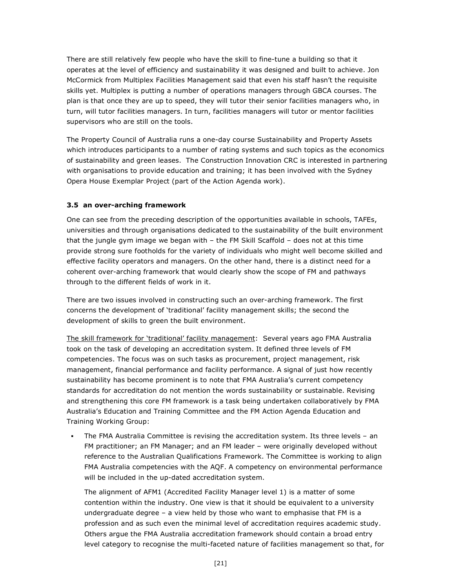There are still relatively few people who have the skill to fine-tune a building so that it operates at the level of efficiency and sustainability it was designed and built to achieve. Jon McCormick from Multiplex Facilities Management said that even his staff hasn't the requisite skills yet. Multiplex is putting a number of operations managers through GBCA courses. The plan is that once they are up to speed, they will tutor their senior facilities managers who, in turn, will tutor facilities managers. In turn, facilities managers will tutor or mentor facilities supervisors who are still on the tools.

The Property Council of Australia runs a one-day course Sustainability and Property Assets which introduces participants to a number of rating systems and such topics as the economics of sustainability and green leases. The Construction Innovation CRC is interested in partnering with organisations to provide education and training; it has been involved with the Sydney Opera House Exemplar Project (part of the Action Agenda work).

# **3.5 an over-arching framework**

One can see from the preceding description of the opportunities available in schools, TAFEs, universities and through organisations dedicated to the sustainability of the built environment that the jungle gym image we began with – the FM Skill Scaffold – does not at this time provide strong sure footholds for the variety of individuals who might well become skilled and effective facility operators and managers. On the other hand, there is a distinct need for a coherent over-arching framework that would clearly show the scope of FM and pathways through to the different fields of work in it.

There are two issues involved in constructing such an over-arching framework. The first concerns the development of 'traditional' facility management skills; the second the development of skills to green the built environment.

The skill framework for 'traditional' facility management: Several years ago FMA Australia took on the task of developing an accreditation system. It defined three levels of FM competencies. The focus was on such tasks as procurement, project management, risk management, financial performance and facility performance. A signal of just how recently sustainability has become prominent is to note that FMA Australia's current competency standards for accreditation do not mention the words sustainability or sustainable. Revising and strengthening this core FM framework is a task being undertaken collaboratively by FMA Australia's Education and Training Committee and the FM Action Agenda Education and Training Working Group:

 The FMA Australia Committee is revising the accreditation system. Its three levels – an FM practitioner; an FM Manager; and an FM leader – were originally developed without reference to the Australian Qualifications Framework. The Committee is working to align FMA Australia competencies with the AQF. A competency on environmental performance will be included in the up-dated accreditation system.

The alignment of AFM1 (Accredited Facility Manager level 1) is a matter of some contention within the industry. One view is that it should be equivalent to a university undergraduate degree – a view held by those who want to emphasise that FM is a profession and as such even the minimal level of accreditation requires academic study. Others argue the FMA Australia accreditation framework should contain a broad entry level category to recognise the multi-faceted nature of facilities management so that, for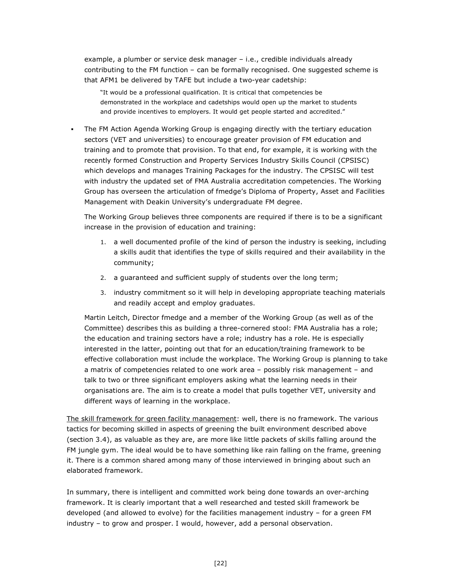example, a plumber or service desk manager – i.e., credible individuals already contributing to the FM function – can be formally recognised. One suggested scheme is that AFM1 be delivered by TAFE but include a two-year cadetship:

"It would be a professional qualification. It is critical that competencies be demonstrated in the workplace and cadetships would open up the market to students and provide incentives to employers. It would get people started and accredited."

 The FM Action Agenda Working Group is engaging directly with the tertiary education sectors (VET and universities) to encourage greater provision of FM education and training and to promote that provision. To that end, for example, it is working with the recently formed Construction and Property Services Industry Skills Council (CPSISC) which develops and manages Training Packages for the industry. The CPSISC will test with industry the updated set of FMA Australia accreditation competencies. The Working Group has overseen the articulation of fmedge's Diploma of Property, Asset and Facilities Management with Deakin University's undergraduate FM degree.

The Working Group believes three components are required if there is to be a significant increase in the provision of education and training:

- 1. a well documented profile of the kind of person the industry is seeking, including a skills audit that identifies the type of skills required and their availability in the community;
- 2. a guaranteed and sufficient supply of students over the long term;
- 3. industry commitment so it will help in developing appropriate teaching materials and readily accept and employ graduates.

Martin Leitch, Director fmedge and a member of the Working Group (as well as of the Committee) describes this as building a three-cornered stool: FMA Australia has a role; the education and training sectors have a role; industry has a role. He is especially interested in the latter, pointing out that for an education/training framework to be effective collaboration must include the workplace. The Working Group is planning to take a matrix of competencies related to one work area – possibly risk management – and talk to two or three significant employers asking what the learning needs in their organisations are. The aim is to create a model that pulls together VET, university and different ways of learning in the workplace.

The skill framework for green facility management: well, there is no framework. The various tactics for becoming skilled in aspects of greening the built environment described above (section 3.4), as valuable as they are, are more like little packets of skills falling around the FM jungle gym. The ideal would be to have something like rain falling on the frame, greening it. There is a common shared among many of those interviewed in bringing about such an elaborated framework.

In summary, there is intelligent and committed work being done towards an over-arching framework. It is clearly important that a well researched and tested skill framework be developed (and allowed to evolve) for the facilities management industry – for a green FM industry – to grow and prosper. I would, however, add a personal observation.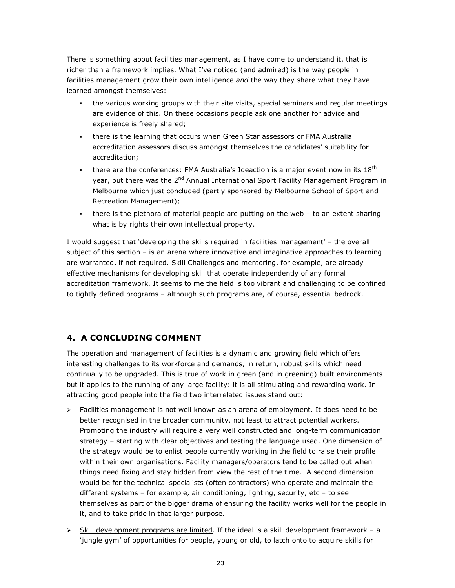There is something about facilities management, as I have come to understand it, that is richer than a framework implies. What I've noticed (and admired) is the way people in facilities management grow their own intelligence *and* the way they share what they have learned amongst themselves:

- the various working groups with their site visits, special seminars and regular meetings are evidence of this. On these occasions people ask one another for advice and experience is freely shared;
- there is the learning that occurs when Green Star assessors or FMA Australia accreditation assessors discuss amongst themselves the candidates' suitability for accreditation;
- there are the conferences: FMA Australia's Ideaction is a major event now in its  $18<sup>th</sup>$ year, but there was the 2<sup>nd</sup> Annual International Sport Facility Management Program in Melbourne which just concluded (partly sponsored by Melbourne School of Sport and Recreation Management);
- there is the plethora of material people are putting on the web to an extent sharing what is by rights their own intellectual property.

I would suggest that 'developing the skills required in facilities management' – the overall subject of this section – is an arena where innovative and imaginative approaches to learning are warranted, if not required. Skill Challenges and mentoring, for example, are already effective mechanisms for developing skill that operate independently of any formal accreditation framework. It seems to me the field is too vibrant and challenging to be confined to tightly defined programs – although such programs are, of course, essential bedrock.

# **4. A CONCLUDING COMMENT**

The operation and management of facilities is a dynamic and growing field which offers interesting challenges to its workforce and demands, in return, robust skills which need continually to be upgraded. This is true of work in green (and in greening) built environments but it applies to the running of any large facility: it is all stimulating and rewarding work. In attracting good people into the field two interrelated issues stand out:

- $\triangleright$  Facilities management is not well known as an arena of employment. It does need to be better recognised in the broader community, not least to attract potential workers. Promoting the industry will require a very well constructed and long-term communication strategy – starting with clear objectives and testing the language used. One dimension of the strategy would be to enlist people currently working in the field to raise their profile within their own organisations. Facility managers/operators tend to be called out when things need fixing and stay hidden from view the rest of the time. A second dimension would be for the technical specialists (often contractors) who operate and maintain the different systems – for example, air conditioning, lighting, security, etc – to see themselves as part of the bigger drama of ensuring the facility works well for the people in it, and to take pride in that larger purpose.
- $\triangleright$  Skill development programs are limited. If the ideal is a skill development framework a 'jungle gym' of opportunities for people, young or old, to latch onto to acquire skills for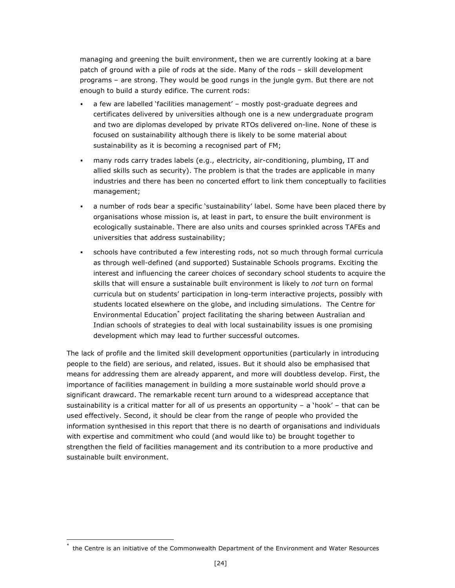managing and greening the built environment, then we are currently looking at a bare patch of ground with a pile of rods at the side. Many of the rods – skill development programs – are strong. They would be good rungs in the jungle gym. But there are not enough to build a sturdy edifice. The current rods:

- a few are labelled 'facilities management' mostly post-graduate degrees and certificates delivered by universities although one is a new undergraduate program and two are diplomas developed by private RTOs delivered on-line. None of these is focused on sustainability although there is likely to be some material about sustainability as it is becoming a recognised part of FM;
- many rods carry trades labels (e.g., electricity, air-conditioning, plumbing, IT and allied skills such as security). The problem is that the trades are applicable in many industries and there has been no concerted effort to link them conceptually to facilities management;
- a number of rods bear a specific 'sustainability' label. Some have been placed there by organisations whose mission is, at least in part, to ensure the built environment is ecologically sustainable. There are also units and courses sprinkled across TAFEs and universities that address sustainability;
- schools have contributed a few interesting rods, not so much through formal curricula as through well-defined (and supported) Sustainable Schools programs. Exciting the interest and influencing the career choices of secondary school students to acquire the skills that will ensure a sustainable built environment is likely to *not* turn on formal curricula but on students' participation in long-term interactive projects, possibly with students located elsewhere on the globe, and including simulations. The Centre for Environmental Education\* project facilitating the sharing between Australian and Indian schools of strategies to deal with local sustainability issues is one promising development which may lead to further successful outcomes.

The lack of profile and the limited skill development opportunities (particularly in introducing people to the field) are serious, and related, issues. But it should also be emphasised that means for addressing them are already apparent, and more will doubtless develop. First, the importance of facilities management in building a more sustainable world should prove a significant drawcard. The remarkable recent turn around to a widespread acceptance that sustainability is a critical matter for all of us presents an opportunity – a 'hook' – that can be used effectively. Second, it should be clear from the range of people who provided the information synthesised in this report that there is no dearth of organisations and individuals with expertise and commitment who could (and would like to) be brought together to strengthen the field of facilities management and its contribution to a more productive and sustainable built environment.

the Centre is an initiative of the Commonwealth Department of the Environment and Water Resources